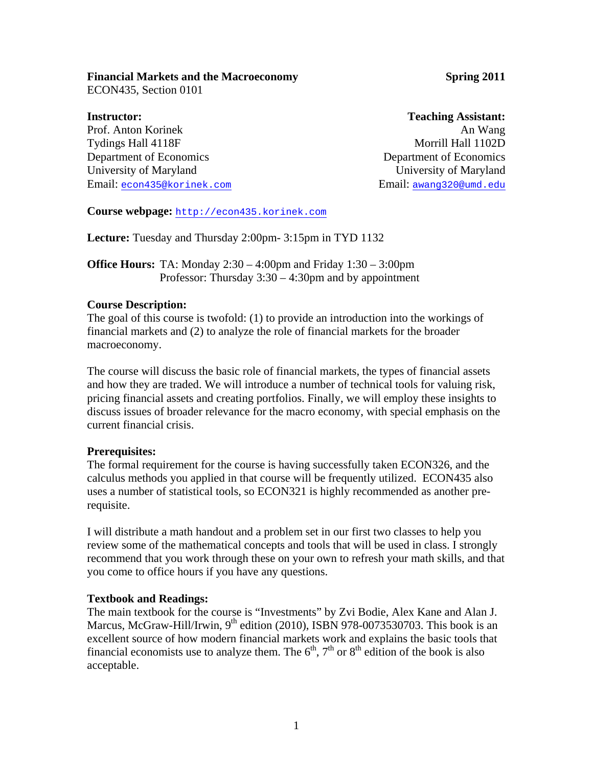# **Financial Markets and the Macroeconomy <b>Spring 2011 Spring 2011**

ECON435, Section 0101

**Instructor:**  Prof. Anton Korinek Tydings Hall 4118F Department of Economics University of Maryland Email: econ435@korinek.com

**Teaching Assistant:** An Wang Morrill Hall 1102D Department of Economics University of Maryland Email: awang320@umd.edu

## **Course webpage:** http://econ435.korinek.com

**Lecture:** Tuesday and Thursday 2:00pm- 3:15pm in TYD 1132

**Office Hours:** TA: Monday 2:30 – 4:00pm and Friday 1:30 – 3:00pm Professor: Thursday 3:30 – 4:30pm and by appointment

## **Course Description:**

The goal of this course is twofold: (1) to provide an introduction into the workings of financial markets and (2) to analyze the role of financial markets for the broader macroeconomy.

The course will discuss the basic role of financial markets, the types of financial assets and how they are traded. We will introduce a number of technical tools for valuing risk, pricing financial assets and creating portfolios. Finally, we will employ these insights to discuss issues of broader relevance for the macro economy, with special emphasis on the current financial crisis.

# **Prerequisites:**

The formal requirement for the course is having successfully taken ECON326, and the calculus methods you applied in that course will be frequently utilized. ECON435 also uses a number of statistical tools, so ECON321 is highly recommended as another prerequisite.

I will distribute a math handout and a problem set in our first two classes to help you review some of the mathematical concepts and tools that will be used in class. I strongly recommend that you work through these on your own to refresh your math skills, and that you come to office hours if you have any questions.

# **Textbook and Readings:**

The main textbook for the course is "Investments" by Zvi Bodie, Alex Kane and Alan J. Marcus, McGraw-Hill/Irwin,  $9<sup>th</sup>$  edition (2010), ISBN 978-0073530703. This book is an excellent source of how modern financial markets work and explains the basic tools that financial economists use to analyze them. The  $6<sup>th</sup>$ ,  $7<sup>th</sup>$  or  $8<sup>th</sup>$  edition of the book is also acceptable.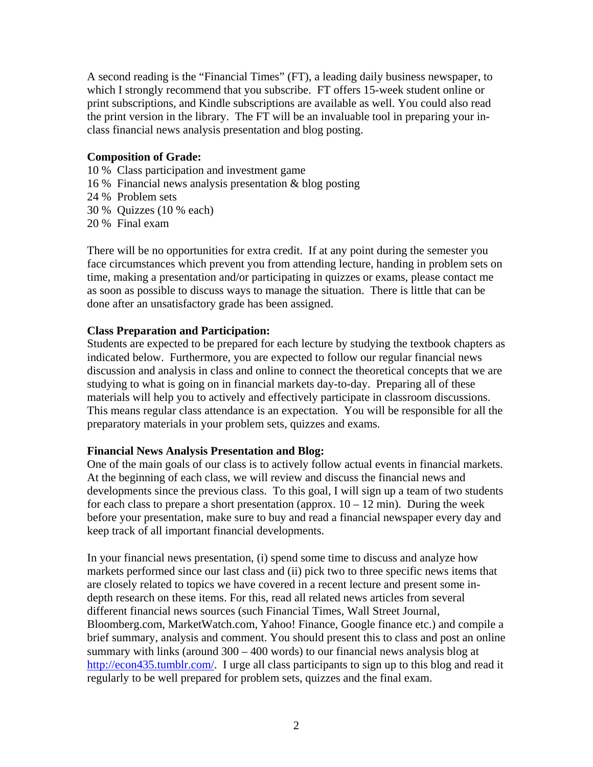A second reading is the "Financial Times" (FT), a leading daily business newspaper, to which I strongly recommend that you subscribe. FT offers 15-week student online or print subscriptions, and Kindle subscriptions are available as well. You could also read the print version in the library. The FT will be an invaluable tool in preparing your inclass financial news analysis presentation and blog posting.

#### **Composition of Grade:**

- 10 % Class participation and investment game
- 16 % Financial news analysis presentation & blog posting
- 24 % Problem sets
- 30 % Quizzes (10 % each)
- 20 % Final exam

There will be no opportunities for extra credit. If at any point during the semester you face circumstances which prevent you from attending lecture, handing in problem sets on time, making a presentation and/or participating in quizzes or exams, please contact me as soon as possible to discuss ways to manage the situation. There is little that can be done after an unsatisfactory grade has been assigned.

### **Class Preparation and Participation:**

Students are expected to be prepared for each lecture by studying the textbook chapters as indicated below. Furthermore, you are expected to follow our regular financial news discussion and analysis in class and online to connect the theoretical concepts that we are studying to what is going on in financial markets day-to-day. Preparing all of these materials will help you to actively and effectively participate in classroom discussions. This means regular class attendance is an expectation. You will be responsible for all the preparatory materials in your problem sets, quizzes and exams.

#### **Financial News Analysis Presentation and Blog:**

One of the main goals of our class is to actively follow actual events in financial markets. At the beginning of each class, we will review and discuss the financial news and developments since the previous class. To this goal, I will sign up a team of two students for each class to prepare a short presentation (approx.  $10 - 12$  min). During the week before your presentation, make sure to buy and read a financial newspaper every day and keep track of all important financial developments.

In your financial news presentation, (i) spend some time to discuss and analyze how markets performed since our last class and (ii) pick two to three specific news items that are closely related to topics we have covered in a recent lecture and present some indepth research on these items. For this, read all related news articles from several different financial news sources (such Financial Times, Wall Street Journal, Bloomberg.com, MarketWatch.com, Yahoo! Finance, Google finance etc.) and compile a brief summary, analysis and comment. You should present this to class and post an online summary with links (around  $300 - 400$  words) to our financial news analysis blog at http://econ435.tumblr.com/. I urge all class participants to sign up to this blog and read it regularly to be well prepared for problem sets, quizzes and the final exam.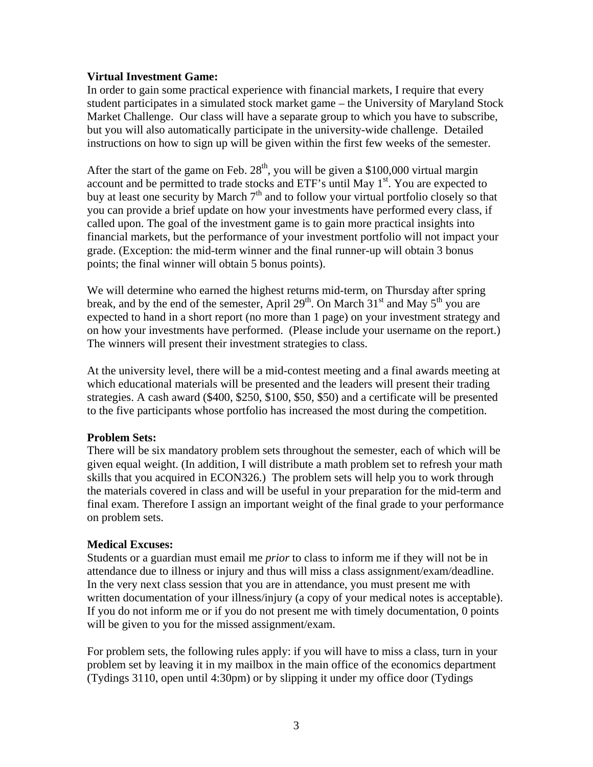## **Virtual Investment Game:**

In order to gain some practical experience with financial markets, I require that every student participates in a simulated stock market game – the University of Maryland Stock Market Challenge. Our class will have a separate group to which you have to subscribe, but you will also automatically participate in the university-wide challenge. Detailed instructions on how to sign up will be given within the first few weeks of the semester.

After the start of the game on Feb.  $28<sup>th</sup>$ , you will be given a \$100,000 virtual margin account and be permitted to trade stocks and ETF's until May  $1<sup>st</sup>$ . You are expected to buy at least one security by March  $7<sup>th</sup>$  and to follow your virtual portfolio closely so that you can provide a brief update on how your investments have performed every class, if called upon. The goal of the investment game is to gain more practical insights into financial markets, but the performance of your investment portfolio will not impact your grade. (Exception: the mid-term winner and the final runner-up will obtain 3 bonus points; the final winner will obtain 5 bonus points).

We will determine who earned the highest returns mid-term, on Thursday after spring break, and by the end of the semester, April  $29<sup>th</sup>$ . On March  $31<sup>st</sup>$  and May  $5<sup>th</sup>$  you are expected to hand in a short report (no more than 1 page) on your investment strategy and on how your investments have performed. (Please include your username on the report.) The winners will present their investment strategies to class.

At the university level, there will be a mid-contest meeting and a final awards meeting at which educational materials will be presented and the leaders will present their trading strategies. A cash award (\$400, \$250, \$100, \$50, \$50) and a certificate will be presented to the five participants whose portfolio has increased the most during the competition.

## **Problem Sets:**

There will be six mandatory problem sets throughout the semester, each of which will be given equal weight. (In addition, I will distribute a math problem set to refresh your math skills that you acquired in ECON326.) The problem sets will help you to work through the materials covered in class and will be useful in your preparation for the mid-term and final exam. Therefore I assign an important weight of the final grade to your performance on problem sets.

## **Medical Excuses:**

Students or a guardian must email me *prior* to class to inform me if they will not be in attendance due to illness or injury and thus will miss a class assignment/exam/deadline. In the very next class session that you are in attendance, you must present me with written documentation of your illness/injury (a copy of your medical notes is acceptable). If you do not inform me or if you do not present me with timely documentation, 0 points will be given to you for the missed assignment/exam.

For problem sets, the following rules apply: if you will have to miss a class, turn in your problem set by leaving it in my mailbox in the main office of the economics department (Tydings 3110, open until 4:30pm) or by slipping it under my office door (Tydings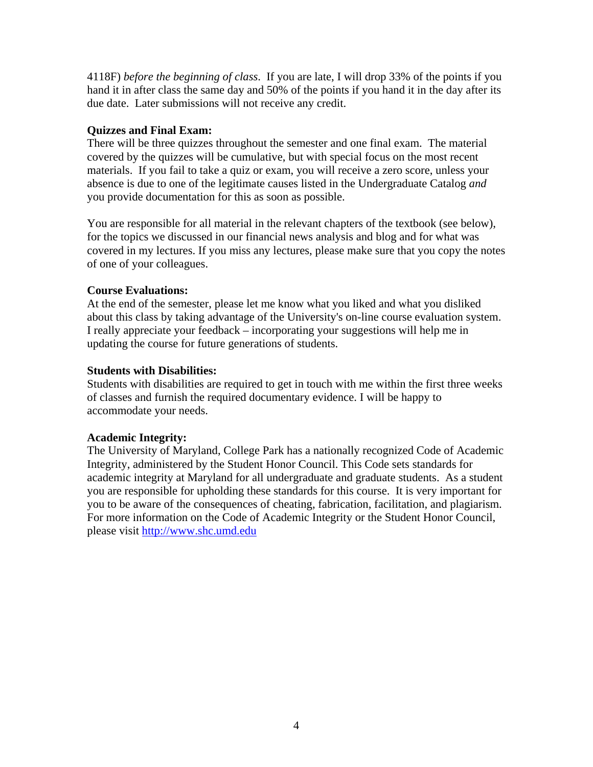4118F) *before the beginning of class*. If you are late, I will drop 33% of the points if you hand it in after class the same day and 50% of the points if you hand it in the day after its due date. Later submissions will not receive any credit.

## **Quizzes and Final Exam:**

There will be three quizzes throughout the semester and one final exam. The material covered by the quizzes will be cumulative, but with special focus on the most recent materials. If you fail to take a quiz or exam, you will receive a zero score, unless your absence is due to one of the legitimate causes listed in the Undergraduate Catalog *and* you provide documentation for this as soon as possible.

You are responsible for all material in the relevant chapters of the textbook (see below), for the topics we discussed in our financial news analysis and blog and for what was covered in my lectures. If you miss any lectures, please make sure that you copy the notes of one of your colleagues.

## **Course Evaluations:**

At the end of the semester, please let me know what you liked and what you disliked about this class by taking advantage of the University's on-line course evaluation system. I really appreciate your feedback – incorporating your suggestions will help me in updating the course for future generations of students.

## **Students with Disabilities:**

Students with disabilities are required to get in touch with me within the first three weeks of classes and furnish the required documentary evidence. I will be happy to accommodate your needs.

# **Academic Integrity:**

The University of Maryland, College Park has a nationally recognized Code of Academic Integrity, administered by the Student Honor Council. This Code sets standards for academic integrity at Maryland for all undergraduate and graduate students. As a student you are responsible for upholding these standards for this course. It is very important for you to be aware of the consequences of cheating, fabrication, facilitation, and plagiarism. For more information on the Code of Academic Integrity or the Student Honor Council, please visit http://www.shc.umd.edu